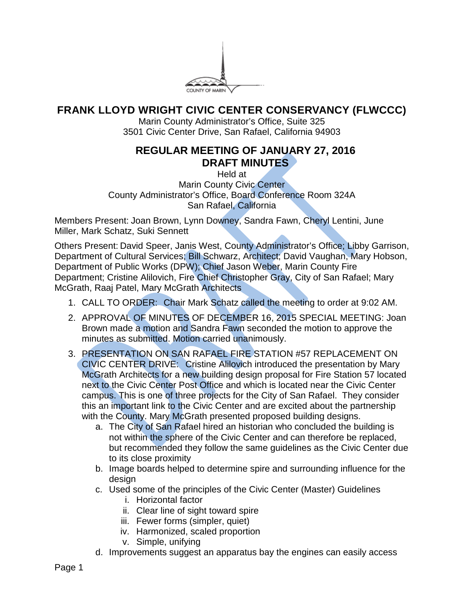

## **FRANK LLOYD WRIGHT CIVIC CENTER CONSERVANCY (FLWCCC)**

Marin County Administrator's Office, Suite 325 3501 Civic Center Drive, San Rafael, California 94903

## **REGULAR MEETING OF JANUARY 27, 2016 DRAFT MINUTES**

Held at Marin County Civic Center County Administrator's Office, Board Conference Room 324A San Rafael, California

Members Present: Joan Brown, Lynn Downey, Sandra Fawn, Cheryl Lentini, June Miller, Mark Schatz, Suki Sennett

Others Present: David Speer, Janis West, County Administrator's Office; Libby Garrison, Department of Cultural Services; Bill Schwarz, Architect; David Vaughan, Mary Hobson, Department of Public Works (DPW); Chief Jason Weber, Marin County Fire Department; Cristine Alilovich, Fire Chief Christopher Gray, City of San Rafael; Mary McGrath, Raaj Patel, Mary McGrath Architects

- 1. CALL TO ORDER: Chair Mark Schatz called the meeting to order at 9:02 AM.
- 2. APPROVAL OF MINUTES OF DECEMBER 16, 2015 SPECIAL MEETING: Joan Brown made a motion and Sandra Fawn seconded the motion to approve the minutes as submitted. Motion carried unanimously.
- 3. PRESENTATION ON SAN RAFAEL FIRE STATION #57 REPLACEMENT ON CIVIC CENTER DRIVE: Cristine Alilovich introduced the presentation by Mary McGrath Architects for a new building design proposal for Fire Station 57 located next to the Civic Center Post Office and which is located near the Civic Center campus. This is one of three projects for the City of San Rafael. They consider this an important link to the Civic Center and are excited about the partnership with the County. Mary McGrath presented proposed building designs.
	- a. The City of San Rafael hired an historian who concluded the building is not within the sphere of the Civic Center and can therefore be replaced, but recommended they follow the same guidelines as the Civic Center due to its close proximity
	- b. Image boards helped to determine spire and surrounding influence for the design
	- c. Used some of the principles of the Civic Center (Master) Guidelines
		- i. Horizontal factor
		- ii. Clear line of sight toward spire
		- iii. Fewer forms (simpler, quiet)
		- iv. Harmonized, scaled proportion
		- v. Simple, unifying
	- d. Improvements suggest an apparatus bay the engines can easily access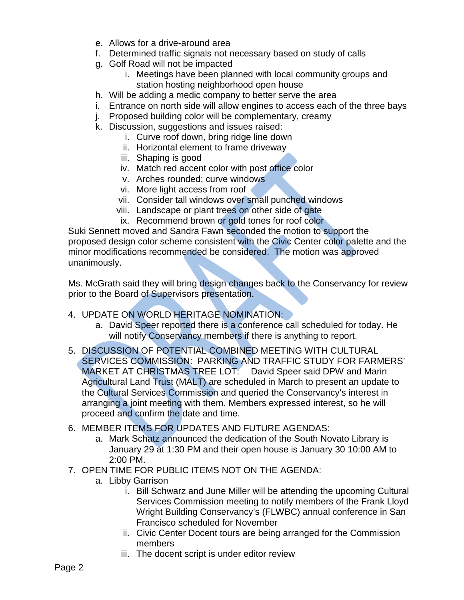- e. Allows for a drive-around area
- f. Determined traffic signals not necessary based on study of calls
- g. Golf Road will not be impacted
	- i. Meetings have been planned with local community groups and station hosting neighborhood open house
- h. Will be adding a medic company to better serve the area
- i. Entrance on north side will allow engines to access each of the three bays
- j. Proposed building color will be complementary, creamy
- k. Discussion, suggestions and issues raised:
	- i. Curve roof down, bring ridge line down
	- ii. Horizontal element to frame driveway
	- iii. Shaping is good
	- iv. Match red accent color with post office color
	- v. Arches rounded; curve windows
	- vi. More light access from roof
	- vii. Consider tall windows over small punched windows
	- viii. Landscape or plant trees on other side of gate
	- ix. Recommend brown or gold tones for roof color

Suki Sennett moved and Sandra Fawn seconded the motion to support the proposed design color scheme consistent with the Civic Center color palette and the minor modifications recommended be considered. The motion was approved unanimously.

Ms. McGrath said they will bring design changes back to the Conservancy for review prior to the Board of Supervisors presentation.

- 4. UPDATE ON WORLD HERITAGE NOMINATION:
	- a. David Speer reported there is a conference call scheduled for today. He will notify Conservancy members if there is anything to report.
- 5. DISCUSSION OF POTENTIAL COMBINED MEETING WITH CULTURAL SERVICES COMMISSION: PARKING AND TRAFFIC STUDY FOR FARMERS' MARKET AT CHRISTMAS TREE LOT: David Speer said DPW and Marin Agricultural Land Trust (MALT) are scheduled in March to present an update to the Cultural Services Commission and queried the Conservancy's interest in arranging a joint meeting with them. Members expressed interest, so he will proceed and confirm the date and time.
- 6. MEMBER ITEMS FOR UPDATES AND FUTURE AGENDAS:
	- a. Mark Schatz announced the dedication of the South Novato Library is January 29 at 1:30 PM and their open house is January 30 10:00 AM to 2:00 PM.
- 7. OPEN TIME FOR PUBLIC ITEMS NOT ON THE AGENDA:
	- a. Libby Garrison
		- i. Bill Schwarz and June Miller will be attending the upcoming Cultural Services Commission meeting to notify members of the Frank Lloyd Wright Building Conservancy's (FLWBC) annual conference in San Francisco scheduled for November
		- ii. Civic Center Docent tours are being arranged for the Commission members
		- iii. The docent script is under editor review